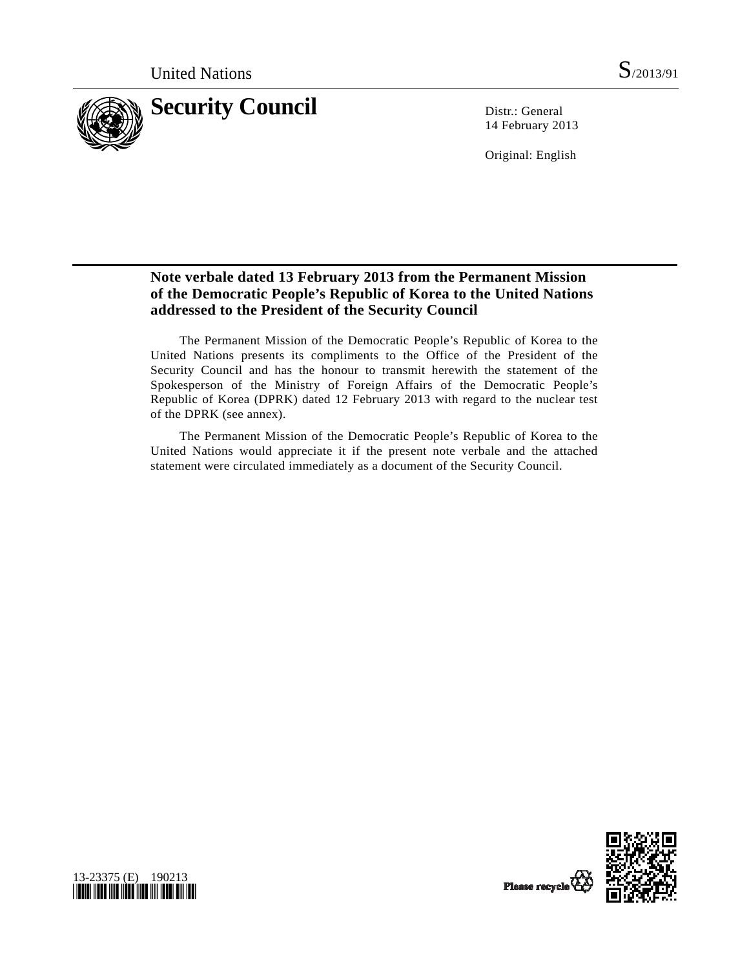

14 February 2013

Original: English

## **Note verbale dated 13 February 2013 from the Permanent Mission of the Democratic People's Republic of Korea to the United Nations addressed to the President of the Security Council**

 The Permanent Mission of the Democratic People's Republic of Korea to the United Nations presents its compliments to the Office of the President of the Security Council and has the honour to transmit herewith the statement of the Spokesperson of the Ministry of Foreign Affairs of the Democratic People's Republic of Korea (DPRK) dated 12 February 2013 with regard to the nuclear test of the DPRK (see annex).

 The Permanent Mission of the Democratic People's Republic of Korea to the United Nations would appreciate it if the present note verbale and the attached statement were circulated immediately as a document of the Security Council.



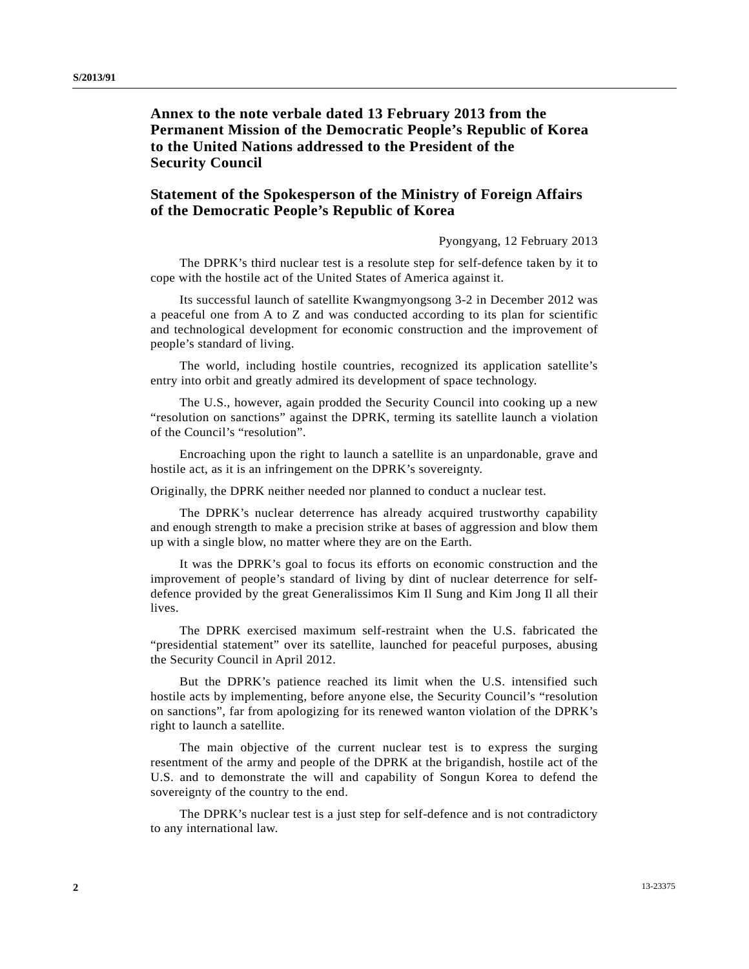## **Annex to the note verbale dated 13 February 2013 from the Permanent Mission of the Democratic People's Republic of Korea to the United Nations addressed to the President of the Security Council**

## **Statement of the Spokesperson of the Ministry of Foreign Affairs of the Democratic People's Republic of Korea**

Pyongyang, 12 February 2013

 The DPRK's third nuclear test is a resolute step for self-defence taken by it to cope with the hostile act of the United States of America against it.

 Its successful launch of satellite Kwangmyongsong 3-2 in December 2012 was a peaceful one from A to Z and was conducted according to its plan for scientific and technological development for economic construction and the improvement of people's standard of living.

 The world, including hostile countries, recognized its application satellite's entry into orbit and greatly admired its development of space technology.

 The U.S., however, again prodded the Security Council into cooking up a new "resolution on sanctions" against the DPRK, terming its satellite launch a violation of the Council's "resolution".

 Encroaching upon the right to launch a satellite is an unpardonable, grave and hostile act, as it is an infringement on the DPRK's sovereignty.

Originally, the DPRK neither needed nor planned to conduct a nuclear test.

 The DPRK's nuclear deterrence has already acquired trustworthy capability and enough strength to make a precision strike at bases of aggression and blow them up with a single blow, no matter where they are on the Earth.

 It was the DPRK's goal to focus its efforts on economic construction and the improvement of people's standard of living by dint of nuclear deterrence for selfdefence provided by the great Generalissimos Kim Il Sung and Kim Jong Il all their lives.

 The DPRK exercised maximum self-restraint when the U.S. fabricated the "presidential statement" over its satellite, launched for peaceful purposes, abusing the Security Council in April 2012.

 But the DPRK's patience reached its limit when the U.S. intensified such hostile acts by implementing, before anyone else, the Security Council's "resolution on sanctions", far from apologizing for its renewed wanton violation of the DPRK's right to launch a satellite.

 The main objective of the current nuclear test is to express the surging resentment of the army and people of the DPRK at the brigandish, hostile act of the U.S. and to demonstrate the will and capability of Songun Korea to defend the sovereignty of the country to the end.

 The DPRK's nuclear test is a just step for self-defence and is not contradictory to any international law.